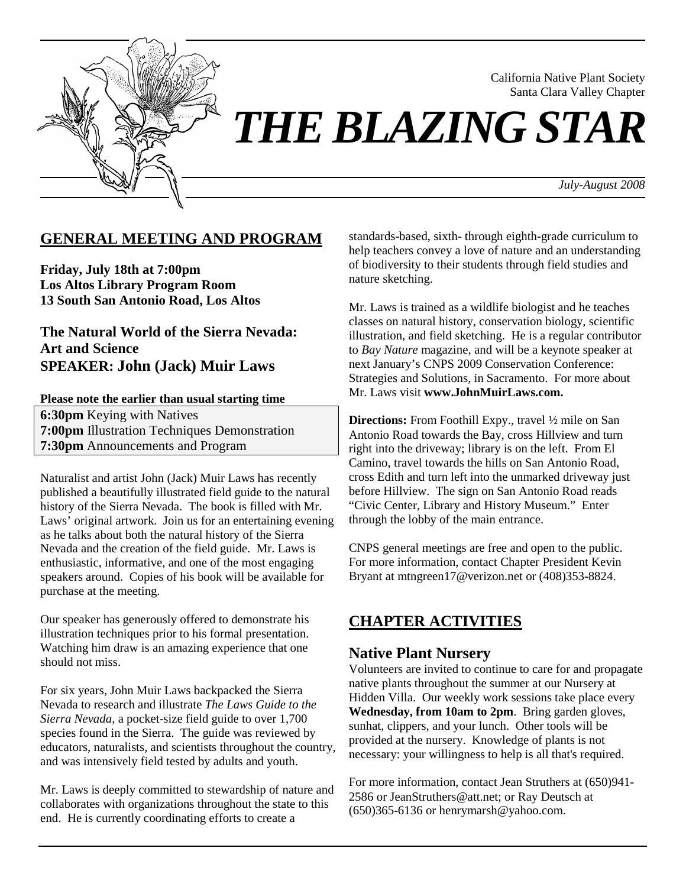

 California Native Plant Society Santa Clara Valley Chapter

# *THE BLAZING STAR*

 *July-August 2008*

## **GENERAL MEETING AND PROGRAM**

**Friday, July 18th at 7:00pm Los Altos Library Program Room 13 South San Antonio Road, Los Altos** 

**The Natural World of the Sierra Nevada: Art and Science SPEAKER: John (Jack) Muir Laws**

#### **Please note the earlier than usual starting time**

**6:30pm** Keying with Natives **7:00pm** Illustration Techniques Demonstration **7:30pm** Announcements and Program

Naturalist and artist John (Jack) Muir Laws has recently published a beautifully illustrated field guide to the natural history of the Sierra Nevada. The book is filled with Mr. Laws' original artwork. Join us for an entertaining evening as he talks about both the natural history of the Sierra Nevada and the creation of the field guide. Mr. Laws is enthusiastic, informative, and one of the most engaging speakers around. Copies of his book will be available for purchase at the meeting.

Our speaker has generously offered to demonstrate his illustration techniques prior to his formal presentation. Watching him draw is an amazing experience that one should not miss.

For six years, John Muir Laws backpacked the Sierra Nevada to research and illustrate *The Laws Guide to the Sierra Nevada*, a pocket-size field guide to over 1,700 species found in the Sierra. The guide was reviewed by educators, naturalists, and scientists throughout the country, and was intensively field tested by adults and youth.

Mr. Laws is deeply committed to stewardship of nature and collaborates with organizations throughout the state to this end. He is currently coordinating efforts to create a

standards-based, sixth- through eighth-grade curriculum to help teachers convey a love of nature and an understanding of biodiversity to their students through field studies and nature sketching.

Mr. Laws is trained as a wildlife biologist and he teaches classes on natural history, conservation biology, scientific illustration, and field sketching. He is a regular contributor to *Bay Nature* magazine, and will be a keynote speaker at next January's CNPS 2009 Conservation Conference: Strategies and Solutions, in Sacramento. For more about Mr. Laws visit **www.JohnMuirLaws.com.**

**Directions:** From Foothill Expy., travel ½ mile on San Antonio Road towards the Bay, cross Hillview and turn right into the driveway; library is on the left. From El Camino, travel towards the hills on San Antonio Road, cross Edith and turn left into the unmarked driveway just before Hillview. The sign on San Antonio Road reads "Civic Center, Library and History Museum." Enter through the lobby of the main entrance.

CNPS general meetings are free and open to the public. For more information, contact Chapter President Kevin Bryant at mtngreen17@verizon.net or (408)353-8824.

## **CHAPTER ACTIVITIES**

#### **Native Plant Nursery**

Volunteers are invited to continue to care for and propagate native plants throughout the summer at our Nursery at Hidden Villa. Our weekly work sessions take place every **Wednesday, from 10am to 2pm**. Bring garden gloves, sunhat, clippers, and your lunch. Other tools will be provided at the nursery. Knowledge of plants is not necessary: your willingness to help is all that's required.

For more information, contact Jean Struthers at (650)941- 2586 or JeanStruthers@att.net; or Ray Deutsch at (650)365-6136 or henrymarsh@yahoo.com.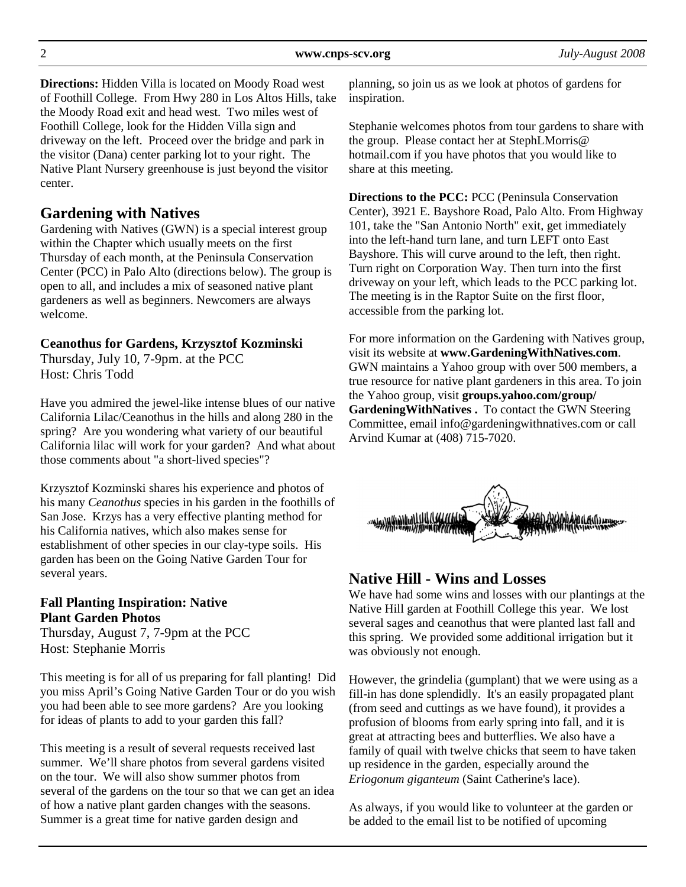**Directions:** Hidden Villa is located on Moody Road west of Foothill College. From Hwy 280 in Los Altos Hills, take the Moody Road exit and head west. Two miles west of Foothill College, look for the Hidden Villa sign and driveway on the left. Proceed over the bridge and park in the visitor (Dana) center parking lot to your right. The Native Plant Nursery greenhouse is just beyond the visitor center.

# **Gardening with Natives**

Gardening with Natives (GWN) is a special interest group within the Chapter which usually meets on the first Thursday of each month, at the Peninsula Conservation Center (PCC) in Palo Alto (directions below). The group is open to all, and includes a mix of seasoned native plant gardeners as well as beginners. Newcomers are always welcome.

## **Ceanothus for Gardens, Krzysztof Kozminski**

Thursday, July 10, 7-9pm. at the PCC Host: Chris Todd

Have you admired the jewel-like intense blues of our native California Lilac/Ceanothus in the hills and along 280 in the spring? Are you wondering what variety of our beautiful California lilac will work for your garden? And what about those comments about "a short-lived species"?

Krzysztof Kozminski shares his experience and photos of his many *Ceanothus* species in his garden in the foothills of San Jose. Krzys has a very effective planting method for his California natives, which also makes sense for establishment of other species in our clay-type soils. His garden has been on the Going Native Garden Tour for several years.

## **Fall Planting Inspiration: Native Plant Garden Photos**

Thursday, August 7, 7-9pm at the PCC Host: Stephanie Morris

This meeting is for all of us preparing for fall planting! Did you miss April's Going Native Garden Tour or do you wish you had been able to see more gardens? Are you looking for ideas of plants to add to your garden this fall?

This meeting is a result of several requests received last summer. We'll share photos from several gardens visited on the tour. We will also show summer photos from several of the gardens on the tour so that we can get an idea of how a native plant garden changes with the seasons. Summer is a great time for native garden design and

planning, so join us as we look at photos of gardens for inspiration.

Stephanie welcomes photos from tour gardens to share with the group. Please contact her at StephLMorris@ hotmail.com if you have photos that you would like to share at this meeting.

**Directions to the PCC:** PCC (Peninsula Conservation Center), 3921 E. Bayshore Road, Palo Alto. From Highway 101, take the "San Antonio North" exit, get immediately into the left-hand turn lane, and turn LEFT onto East Bayshore. This will curve around to the left, then right. Turn right on Corporation Way. Then turn into the first driveway on your left, which leads to the PCC parking lot. The meeting is in the Raptor Suite on the first floor, accessible from the parking lot.

For more information on the Gardening with Natives group, visit its website at **www.GardeningWithNatives.com**. GWN maintains a Yahoo group with over 500 members, a true resource for native plant gardeners in this area. To join the Yahoo group, visit **groups.yahoo.com/group/ GardeningWithNatives .** To contact the GWN Steering Committee, email info@gardeningwithnatives.com or call Arvind Kumar at (408) 715-7020.



## **Native Hill - Wins and Losses**

We have had some wins and losses with our plantings at the Native Hill garden at Foothill College this year. We lost several sages and ceanothus that were planted last fall and this spring. We provided some additional irrigation but it was obviously not enough.

However, the grindelia (gumplant) that we were using as a fill-in has done splendidly. It's an easily propagated plant (from seed and cuttings as we have found), it provides a profusion of blooms from early spring into fall, and it is great at attracting bees and butterflies. We also have a family of quail with twelve chicks that seem to have taken up residence in the garden, especially around the *Eriogonum giganteum* (Saint Catherine's lace).

As always, if you would like to volunteer at the garden or be added to the email list to be notified of upcoming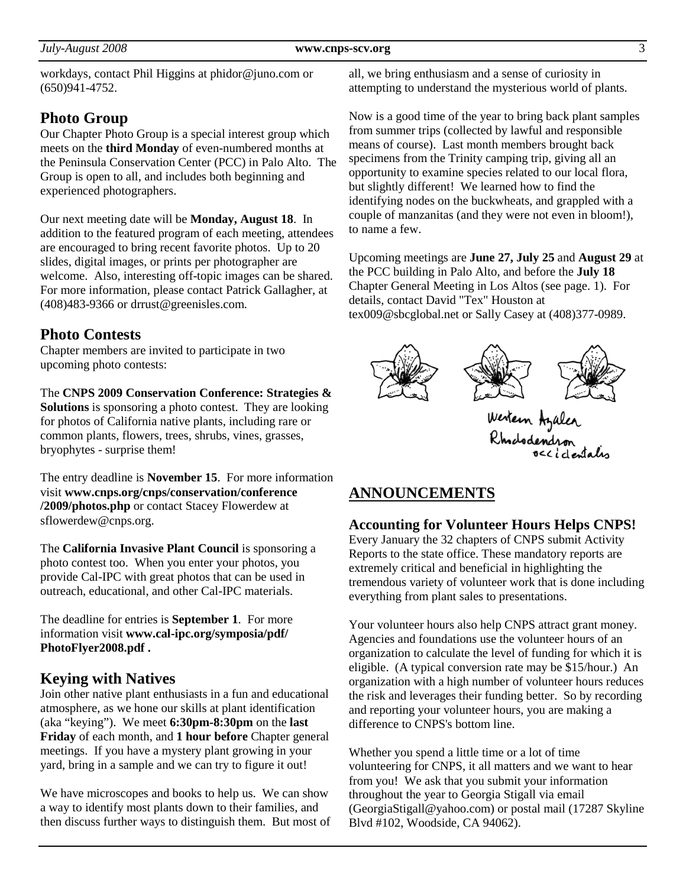#### *July-August 2008* **www.cnps-scv.org** 3

workdays, contact Phil Higgins at phidor@juno.com or (650)941-4752.

## **Photo Group**

Our Chapter Photo Group is a special interest group which meets on the **third Monday** of even-numbered months at the Peninsula Conservation Center (PCC) in Palo Alto. The Group is open to all, and includes both beginning and experienced photographers.

Our next meeting date will be **Monday, August 18**. In addition to the featured program of each meeting, attendees are encouraged to bring recent favorite photos. Up to 20 slides, digital images, or prints per photographer are welcome. Also, interesting off-topic images can be shared. For more information, please contact Patrick Gallagher, at (408)483-9366 or drrust@greenisles.com.

## **Photo Contests**

Chapter members are invited to participate in two upcoming photo contests:

The **CNPS 2009 Conservation Conference: Strategies & Solutions** is sponsoring a photo contest. They are looking for photos of California native plants, including rare or common plants, flowers, trees, shrubs, vines, grasses, bryophytes - surprise them!

The entry deadline is **November 15**. For more information visit **www.cnps.org/cnps/conservation/conference /2009/photos.php** or contact Stacey Flowerdew at sflowerdew@cnps.org.

The **California Invasive Plant Council** is sponsoring a photo contest too. When you enter your photos, you provide Cal-IPC with great photos that can be used in outreach, educational, and other Cal-IPC materials.

The deadline for entries is **September 1**. For more information visit **www.cal-ipc.org/symposia/pdf/ PhotoFlyer2008.pdf .** 

## **Keying with Natives**

Join other native plant enthusiasts in a fun and educational atmosphere, as we hone our skills at plant identification (aka "keying"). We meet **6:30pm-8:30pm** on the **last Friday** of each month, and **1 hour before** Chapter general meetings. If you have a mystery plant growing in your yard, bring in a sample and we can try to figure it out!

We have microscopes and books to help us. We can show a way to identify most plants down to their families, and then discuss further ways to distinguish them. But most of

all, we bring enthusiasm and a sense of curiosity in attempting to understand the mysterious world of plants.

Now is a good time of the year to bring back plant samples from summer trips (collected by lawful and responsible means of course). Last month members brought back specimens from the Trinity camping trip, giving all an opportunity to examine species related to our local flora, but slightly different! We learned how to find the identifying nodes on the buckwheats, and grappled with a couple of manzanitas (and they were not even in bloom!), to name a few.

Upcoming meetings are **June 27, July 25** and **August 29** at the PCC building in Palo Alto, and before the **July 18** Chapter General Meeting in Los Altos (see page. 1). For details, contact David "Tex" Houston at tex009@sbcglobal.net or Sally Casey at (408)377-0989.



Western Azalen<br>Rhododendron<br>o<<identalis

## **ANNOUNCEMENTS**

## **Accounting for Volunteer Hours Helps CNPS!**

Every January the 32 chapters of CNPS submit Activity Reports to the state office. These mandatory reports are extremely critical and beneficial in highlighting the tremendous variety of volunteer work that is done including everything from plant sales to presentations.

Your volunteer hours also help CNPS attract grant money. Agencies and foundations use the volunteer hours of an organization to calculate the level of funding for which it is eligible. (A typical conversion rate may be \$15/hour.) An organization with a high number of volunteer hours reduces the risk and leverages their funding better. So by recording and reporting your volunteer hours, you are making a difference to CNPS's bottom line.

Whether you spend a little time or a lot of time volunteering for CNPS, it all matters and we want to hear from you! We ask that you submit your information throughout the year to Georgia Stigall via email (GeorgiaStigall@yahoo.com) or postal mail (17287 Skyline Blvd #102, Woodside, CA 94062).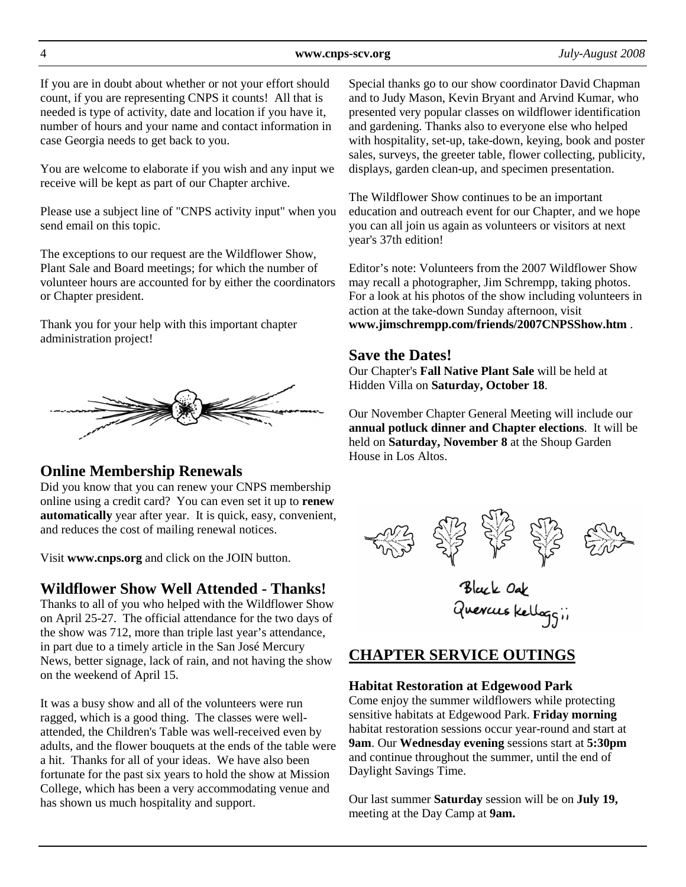If you are in doubt about whether or not your effort should count, if you are representing CNPS it counts! All that is needed is type of activity, date and location if you have it, number of hours and your name and contact information in case Georgia needs to get back to you.

You are welcome to elaborate if you wish and any input we receive will be kept as part of our Chapter archive.

Please use a subject line of "CNPS activity input" when you send email on this topic.

The exceptions to our request are the Wildflower Show, Plant Sale and Board meetings; for which the number of volunteer hours are accounted for by either the coordinators or Chapter president.

Thank you for your help with this important chapter administration project!



## **Online Membership Renewals**

Did you know that you can renew your CNPS membership online using a credit card? You can even set it up to **renew automatically** year after year. It is quick, easy, convenient, and reduces the cost of mailing renewal notices.

Visit **www.cnps.org** and click on the JOIN button.

# **Wildflower Show Well Attended - Thanks!**

Thanks to all of you who helped with the Wildflower Show on April 25-27. The official attendance for the two days of the show was 712, more than triple last year's attendance, in part due to a timely article in the San José Mercury News, better signage, lack of rain, and not having the show on the weekend of April 15.

It was a busy show and all of the volunteers were run ragged, which is a good thing. The classes were wellattended, the Children's Table was well-received even by adults, and the flower bouquets at the ends of the table were a hit. Thanks for all of your ideas. We have also been fortunate for the past six years to hold the show at Mission College, which has been a very accommodating venue and has shown us much hospitality and support.

Special thanks go to our show coordinator David Chapman and to Judy Mason, Kevin Bryant and Arvind Kumar, who presented very popular classes on wildflower identification and gardening. Thanks also to everyone else who helped with hospitality, set-up, take-down, keying, book and poster sales, surveys, the greeter table, flower collecting, publicity, displays, garden clean-up, and specimen presentation.

The Wildflower Show continues to be an important education and outreach event for our Chapter, and we hope you can all join us again as volunteers or visitors at next year's 37th edition!

Editor's note: Volunteers from the 2007 Wildflower Show may recall a photographer, Jim Schrempp, taking photos. For a look at his photos of the show including volunteers in action at the take-down Sunday afternoon, visit **www.jimschrempp.com/friends/2007CNPSShow.htm** .

## **Save the Dates!**

Our Chapter's **Fall Native Plant Sale** will be held at Hidden Villa on **Saturday, October 18**.

Our November Chapter General Meeting will include our **annual potluck dinner and Chapter elections**. It will be held on **Saturday, November 8** at the Shoup Garden House in Los Altos.



Black Oak<br>Quercus Kellaggii

# **CHAPTER SERVICE OUTINGS**

## **Habitat Restoration at Edgewood Park**

Come enjoy the summer wildflowers while protecting sensitive habitats at Edgewood Park. **Friday morning** habitat restoration sessions occur year-round and start at **9am**. Our **Wednesday evening** sessions start at **5:30pm**  and continue throughout the summer, until the end of Daylight Savings Time.

Our last summer **Saturday** session will be on **July 19,**  meeting at the Day Camp at **9am.**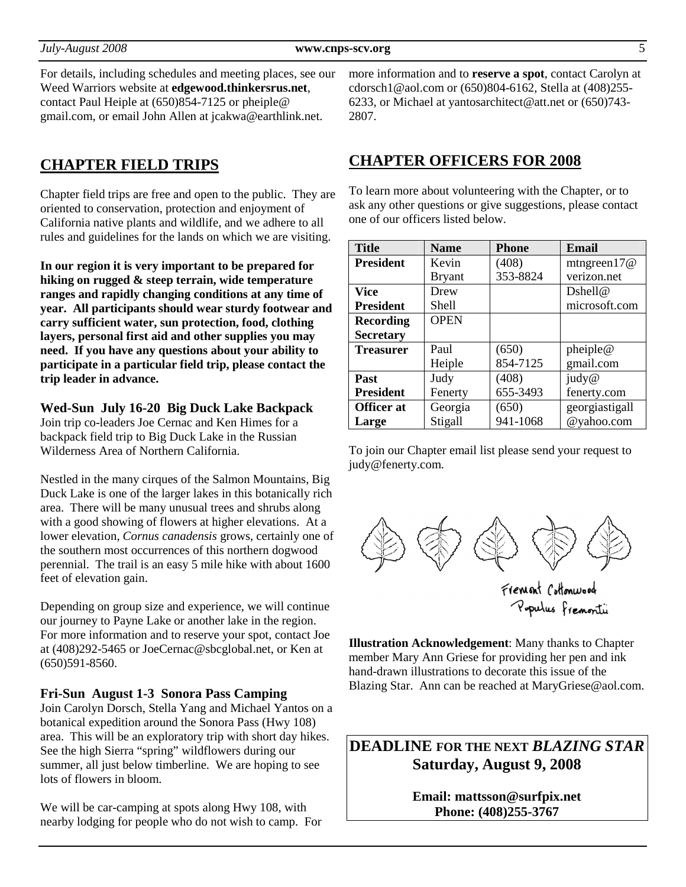For details, including schedules and meeting places, see our Weed Warriors website at **edgewood.thinkersrus.net**, contact Paul Heiple at (650)854-7125 or pheiple@ gmail.com, or email John Allen at jcakwa@earthlink.net.

## **CHAPTER FIELD TRIPS**

Chapter field trips are free and open to the public. They are oriented to conservation, protection and enjoyment of California native plants and wildlife, and we adhere to all rules and guidelines for the lands on which we are visiting.

**In our region it is very important to be prepared for hiking on rugged & steep terrain, wide temperature ranges and rapidly changing conditions at any time of year. All participants should wear sturdy footwear and carry sufficient water, sun protection, food, clothing layers, personal first aid and other supplies you may need. If you have any questions about your ability to participate in a particular field trip, please contact the trip leader in advance.** 

#### **Wed-Sun July 16-20 Big Duck Lake Backpack**

Join trip co-leaders Joe Cernac and Ken Himes for a backpack field trip to Big Duck Lake in the Russian Wilderness Area of Northern California.

Nestled in the many cirques of the Salmon Mountains, Big Duck Lake is one of the larger lakes in this botanically rich area. There will be many unusual trees and shrubs along with a good showing of flowers at higher elevations. At a lower elevation, *Cornus canadensis* grows, certainly one of the southern most occurrences of this northern dogwood perennial. The trail is an easy 5 mile hike with about 1600 feet of elevation gain.

Depending on group size and experience, we will continue our journey to Payne Lake or another lake in the region. For more information and to reserve your spot, contact Joe at (408)292-5465 or JoeCernac@sbcglobal.net, or Ken at (650)591-8560.

#### **Fri-Sun August 1-3 Sonora Pass Camping**

Join Carolyn Dorsch, Stella Yang and Michael Yantos on a botanical expedition around the Sonora Pass (Hwy 108) area. This will be an exploratory trip with short day hikes. See the high Sierra "spring" wildflowers during our summer, all just below timberline. We are hoping to see lots of flowers in bloom.

We will be car-camping at spots along Hwy 108, with nearby lodging for people who do not wish to camp. For more information and to **reserve a spot**, contact Carolyn at cdorsch1@aol.com or (650)804-6162, Stella at (408)255- 6233, or Michael at yantosarchitect@att.net or (650)743- 2807.

#### **CHAPTER OFFICERS FOR 2008**

To learn more about volunteering with the Chapter, or to ask any other questions or give suggestions, please contact one of our officers listed below.

| <b>Title</b>      | <b>Name</b>   | <b>Phone</b> | Email          |
|-------------------|---------------|--------------|----------------|
| <b>President</b>  | Kevin         | (408)        | mtngreen $17@$ |
|                   | <b>Bryant</b> | 353-8824     | verizon.net    |
| Vice              | Drew          |              | Dshell@        |
| <b>President</b>  | Shell         |              | microsoft.com  |
| <b>Recording</b>  | <b>OPEN</b>   |              |                |
| <b>Secretary</b>  |               |              |                |
| <b>Treasurer</b>  | Paul          | (650)        | pheiple@       |
|                   | Heiple        | 854-7125     | gmail.com      |
| Past              | Judy          | (408)        | judy@          |
| <b>President</b>  | Fenerty       | 655-3493     | fenerty.com    |
| <b>Officer</b> at | Georgia       | (650)        | georgiastigall |
| Large             | Stigall       | 941-1068     | @yahoo.com     |

To join our Chapter email list please send your request to judy@fenerty.com.



Pupulus Fremonti

**Illustration Acknowledgement**: Many thanks to Chapter member Mary Ann Griese for providing her pen and ink hand-drawn illustrations to decorate this issue of the Blazing Star. Ann can be reached at MaryGriese@aol.com.

**DEADLINE FOR THE NEXT** *BLAZING STAR*  **Saturday, August 9, 2008** 

> **Email: mattsson@surfpix.net Phone: (408)255-3767**